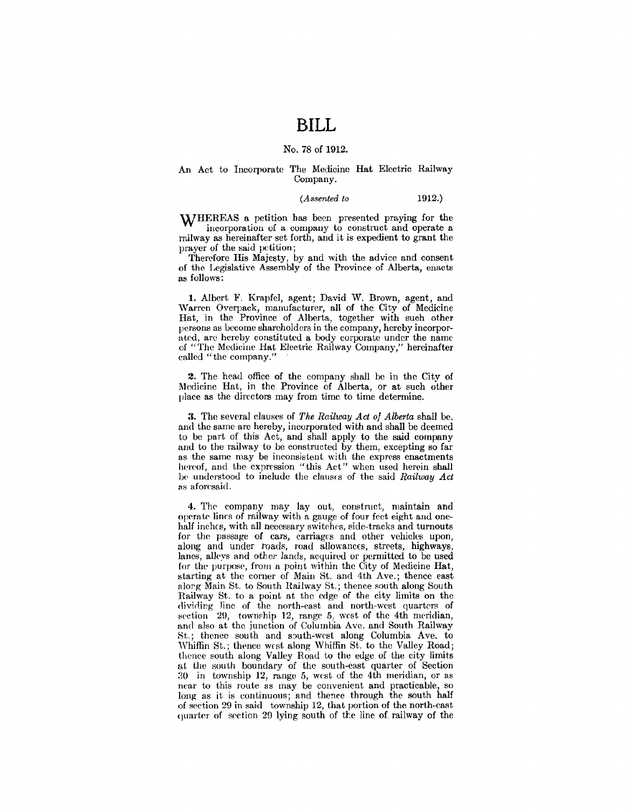## **BILL**

### No. 78 of 1912.

### An Act to Incorporate The Medicine Hat Electric Railway Company.

### *(Assented to* 1912.)

WHEREAS a petition has been presented praying for the incorporation of a company to construct and operate a railway as hereinafter set forth, and it is expedient to grant the prayer of the said petition;

Therefore His Majesty, by and with the advice and consent of the Legislative Assembly of the Province of Alberta, enacts as follows;

1. Albert F. Krapfel, agent; David W. Brown, agent, and Warren Overpack, manufacturer, all of the City of Medicine Hat, in the Province of Alberta, together with such other persons as Lecome shareholders in the company, hereby incorporated, are hereby constituted a body corporate under the name of "The Medicine Hat Electric Railway Company," hereinafter called "the company."

2. The head office of the company shall be in the City of Medicine Hat, in the Province of Alberta, or at such other place as the directors may from time to time determine.

3. The several clauses of *The Railway Act* of *Alberta* shall be. and the same are hereby, incorporated with and shall be deemed to be part of this Act, and sha11 apply to the said company and to the railway to be constmcted by them, excepting so far as the same may be inconsistent with the express enactments hereof, and the expression "this Act" when used herein shall be understood to include the clauses of the said *Railway Act* as aforesaid.

4. The company may lay out, construct, maintain and operate lines of railway with a gauge of four feet eight and onehalf inches, with all necessary switches, side-tracks and turnouts for the passage of cars, carriages and other vehicles upon, along and under roads, road allowances, streets, highways, lanes, alleys and other lands, acquired or permitted to be used for the purpose, from a point within the City of Medicine Hat, starting at the corner of Main St. and 4th Ave.; thence east alorg Main St. to South Railway St.; thence south along South Railway St. to a point at the edge of the city limits on the dividing line of the north-east and north-west quarters of  $section$  29, township 12, range 5, west of the 4th meridian, ancl also at the junction of Columbia Ave. and South Railway St.; thence south and south-west along Columbia Ave. to Whiffin St.; thence west along Whiffin St. to the Valley Road; thence south along Valley Road to the edge of the city limits at the south boundary of the south-east quarter of Section 30 in township 12, range 5, wrst of the 4th meridian, or as near to this route as may be convenient and practicable, so long as it is continuous; and thence through the south half of section 29 in said township 12, that portion of the north-cast quarter of section 29 lying south of the line of railway of the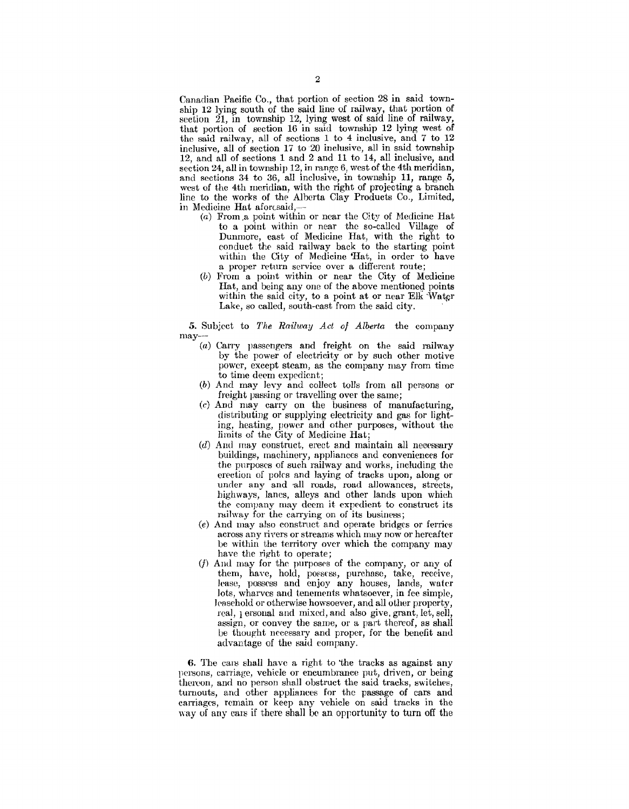Canadian Pacific Co., that portion of section 28 in said township 12 lying south of the said line of railway, that portion of section  $21$ , in township 12, lying west of said line of railway, that portion of section 16 in said township 12 lying west of the said railway, all of sections 1 to 4 inclusive, and 7 to 12 inclusive, all of section 17 to 20 inclusive, all in said township 12, and all of sections 1 and 2 and 11 to 14, all inclusive, and section 24, all in township 12, in range 6, west of the 4th meridian, and sections 34 to 36, all inclusive, in township 11, range 5, west of the 4th meridian, with the right of projecting a branch line to the works of the Alberta Clay Products Co., Limited, in Medicine Hat aforcsaid,--

- $(a)$  From a point within or near the City of Medicine Hat to a point within or near the so-called Village of Dunmore, east of Medicine Hat, with the right to conduct the said railway back to the starting point within the City of Medicine 'Hat, in order to have a proper return service over a different route;
- (b) From a point within or near the City of Medicine Hat, and being any one of the above mentioneg points within the said city, to a point at or near Elk Water Lake, so called, south-cast from the said city.

*5.* Subjcet to *The Railway Act of Alberta* the company may-

- $(a)$  Carry passengers and freight on the said railway by the power of electricity or by such other motive power, except steam, as the company may from time to time deem expedient;
- (b) And may levy and collect toll8 from all persons or freight passing or travelling over the same;
- (c) And may carry on the business of manufacturing, distributing or supplying electricity and gas for lighting, heating, power and other purposes, without the limits of the City of Medicine Hat;
- (d) And may construct, erect and maintain all necrssary buildings, machinery, appliances and conveniences for the purposes of such railway and works, ineluding the erection of poles and laying of tracks upon, along or under any and all roads, road allowances, streets, highways, lanes, alleys and other lands upon which the company may deem it expedient to construct its railway for the carrying on of its business;
- (e) And may also construct and operate bridges or ferries across any rivers or streams which may now or hereafter be within the territory over which the company may have the right to operate;
- $(f)$  And may for the purposes of the company, or any of them, have, hold, possess, purchase, take, receive, lease, possess and enjoy any houses, lands, water lots, wharves and tenements whatsoever, in fee simple, leasehold or otherwise howsoever, and all other property, real, 1 ersonal and mixed, and also give, grant, let, sell, assign, or convey the same, or a part thereof, as shall be thought neeeesary and proper, for the benefit and advantage of the said company.

6. The cars shall have a right to the tracks as against any persons, earriage, vehicle or encumbrance put, driven, or being thereon, and no person shall obstruct the said tracks, switches, turnouts, and other appliances for the passage of cars and carriages, remain or keep any vehicle on said traeks in the way of any cars if there shall be an opportunity to turn off the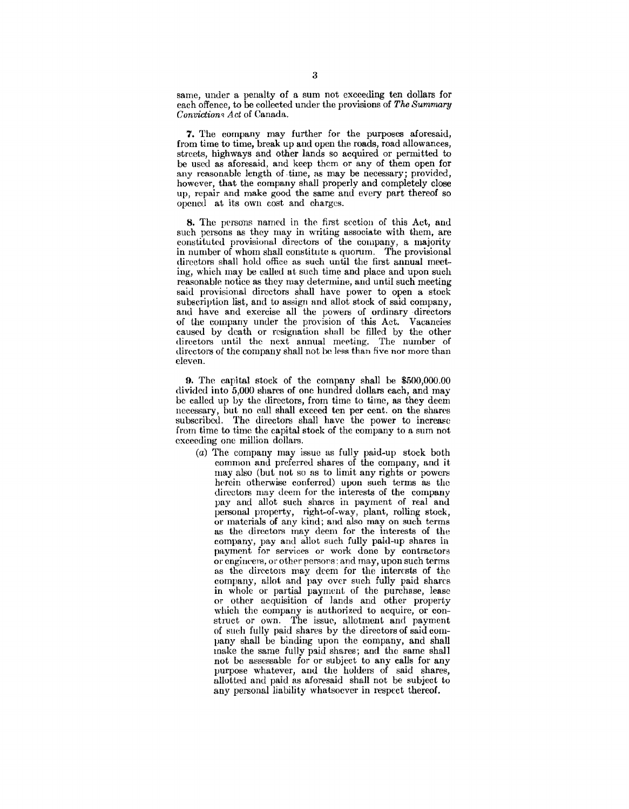same, under a penalty of a sum not exceeding ten dollars for each offence, to be collected under the provisions of *The Summary*  Conviction~ *Act* of Canada.

7. The company may further for the purposes aforesaid, from time to time, break up and open the roads, road allowances, streets, highways and other lands so acquired or permitted to be used as aforesaid, and keep them or any of them open for any reasonable length of time, as may be necessary; provided, however, that the company shall properly and completely close up, repair and make good the same ami every part thereof so opened at its own cost and charges.

8. The persons named in the first section of this Act, and such persons as they may in writing associate with them, are constituted provisional directors of the company, a majority in number of whom shall constitute a quorum. The provisional directors shall hold office as such until the first annual meeting, which may be called at such time and place and upon such reasonable notice as they may determine, and until such meeting said provisional directors shall have power to open a stock subseription list, and to assign and allot stock of said company, and have and exercise all the powers of ordinary directors of the company under the provision of this Act. Vacancies caused by death or resignation shall be filled by the other directors until the next annual meeting. The number of directors of the company shall not be less than five nor more than eleven.

9. The capital stock of the company shall be \$500,000.00 divided into 5,000 shares of one hundred dollars each, and may be called up by the directors, from time to time, as they deem necessary, but no call shall exceed ten per cent. on the shares subscribed. The directors shall have the power to increase from time to time the capital stock of the company to a sum not exceeding one million dollars.

(a) The company may issue as fully paid-up stock both common and preferred shares of the company, and it may also (but not so as to limit any rights or powers herein otherwise conferred) upon such terms as the directors may deem for the interests of the company pay and allot such shares in payment of real and personal property, right-of-way, plant, rolling stock, or materials of any kind; and also may on such terms as the directors may deem for the interests of the company, pay and allot such fully paid-up shares in payment for services or work done by contractors or engineers, or other persors: and may, upon such terms as the directors may deem for the interests of the company, allot and pay over such fully paid shares in whole or partial payment of the purchase, lease or other acquisition of lands and other property which the company is authorized to acquire, or construct or own. The issue, allotment and payment of sueh fully paid shares by the directors of said company shall be binding upon the company, and shall make the same fully paid shares; and the same shall not be assessable for or subject to any calls for any purpose whatever, and the holders of said shares, allotted and paid as aforesaid shall not be subject to any personal liability whatsoever in respect thereof.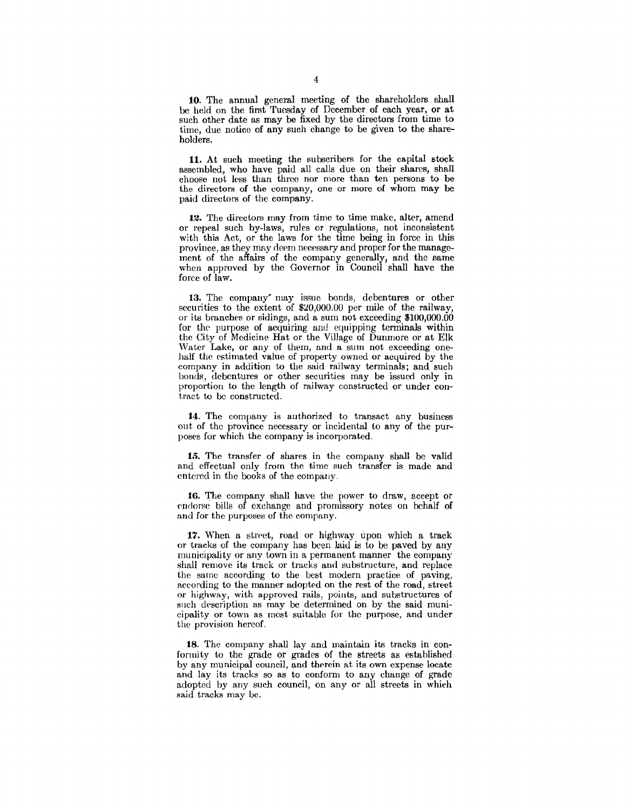**10.** The annual general meeting of the shareholders shall be held on the first Tuesday of December of each year, or at such other date as may be fixed by the directors from time to time, due notice of any such change to be given to the shareholders.

**11.** At such meeting the subscribers for the capital stock assembled, who have paid all calls due on their shares, shall choose not less than three nor more than ten persons to be the directors of the company, one or more of whom may be paid directors of the company.

**12.** The directors may from time to time make, alter, amend or repeal such by-laws, rules or regulations, not inconsistent with this Act, or the laws for the time being in force in this province, as they may deem necessary and proper for the management of the affairs of the company generally, and the same when approved by the Governor in Council shall have the force of law.

13. The company' may issue bonds, debentures or other securities to the extent of \$20,000.00 per mile of the railway, or its branches or sidings, and a sum not exceeding \$100,000.00 for the purpose of acquiring and equipping terminals within the City of Medicine Hat or the Village of Dunmore or at Elk Water Lake, or any of them, and a sum not exceeding onehalf the rstimated value of property owned or acquired by the company in addition to the said railway terminals; and such bonds, debentures or other securities may be issued only in proportion to the length of railway constructed or under contract to be constructed.

**14.** The company is authorized to transact any business out of the province necessary or incidental to any of the purposes for which the company is incorporated.

15. The transfer of shares in the company shall be valid and effectual only from the time such transfer is made and entered in the books of the company.

**16.** The company shall have the power to draw, accept or f'ndorsc bills of exchange and promissory notes on behalf of and for the purposes of the company.

17. When a street, road or highway upon which a track or tracks of the company has been laid is to be paved by any municipality or any town in a permanent manner the company shall remove its track or tracks and substructure, and replace the same according to the best modern practice of paving, according to the manner adopted on the rest of the road, street or highway, with approved rails, points, and substructures of such description as may be determined on by the said municipality or town as most suitable for the purpose, and under the provision hereof.

**18.** The company shall lay and maintain its tracks in conformity to the grade or grades of the streets as established by any municipal council, and therein at its own expense locate and lay its tracks so as to conform to any change of grade adopted by any such council, on any or all streets in which said tracks may be.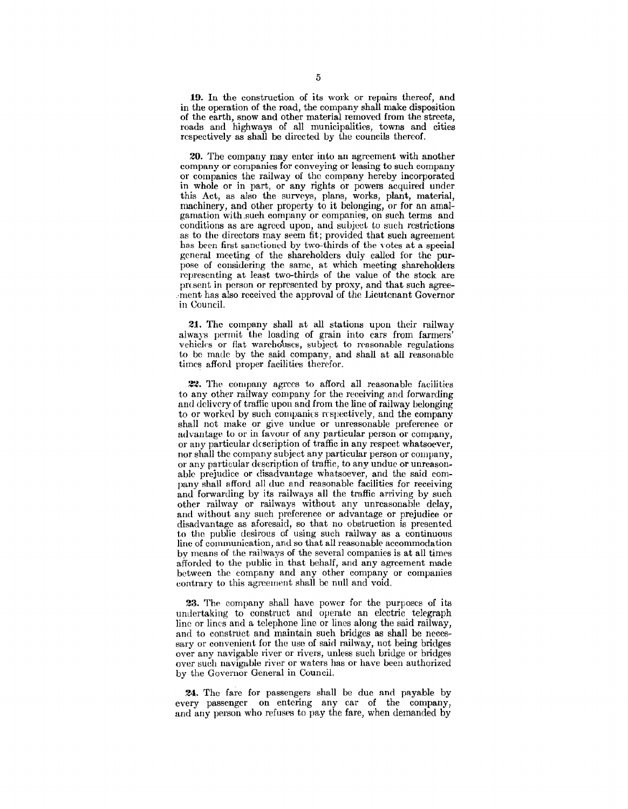**19.** In the construction of its work or repairs thereof, and in the operation of the road, the company shall make disposition of the earth, snow and other material removed from the streets, roads and highways of all municipalities, towns and cities respectively as shall be directed by the councils thereof.

**20.** The company may enter into an agreement with another company or companies for conveying or leasing to such company or companies the railway of the company hereby incorporated in whole or in part, or any rights or powers acquired under this Act, as also the surveys, plans, works, plant, material, machinery, and other property to it belonging, or for an amalgamation with such company or companies, on such terms and conditions as are agreed upon, and subjeet to such restrictions as to the directors may seem fit; provided that such agreement has been first sanctioned by two-thirds of the votes at a special general meeting of the shareholders duly called for the purpose of considering the same, at which meeting shareholders representing at least two-thirds of the value of the stock are present in person or represented by proxy, and that such agree-.·ment has also received the approval of the Lieutenant Governor in Council.

**21.** The company shall at all stations upon their railway always permit the loading of grain into cars from farmers' vehicles or flat warehouses, subject to reasonable regulations to be made by the said company, and shall at all reasonable times afford proper facilities therefor.

22. The company agrees to afford all reasonable facilities to any other railway company for the receiving and forwarding and delivery of traffic upon and from the line of railway belonging to or worked by such companies respectively, and the company shall not make or give undue or unreasonable preference or advantage to or in favour of any particular person or company, or any particular description of traffic in any respect whatsoever, nor shall the company subject any particular person or company, or any particular description of traffic, to any undue or unreasonable prejudice or disadvantage whatsoever, and the said company shall afford all due and reasonable facilities for receiving and forwarding by its railways all the traffic arriving by such other railway or railways without any unreasonable delay, and without any such preference or advantage or prejudice or disadvantage as aforesaid, so that no obstruction is presented to the public desirous of using such railway as a continuous line of communication, and so that all reasonable accommodation by means of the railways of the several companies is at all times afforded to the public in that behalf, and any agreement made between the company and any other company or companies contrary to this agreement shall be null and void.

23. The company shall have power for the purposes of its undertaking to construct and operate an electric telegraph line or lines and a telephone line or lines along the said railway, and to construct and maintain such bridges as shall be necessary or convenient for the use of said railway, not being bridges over any navigable river or rivers, unless such bridge or bridges over such navigable river or waters has or have been authorized by the Governor General in Council.

24. The fare for passengers shall be due and payable by every passenger on entering any car of the company, and any person who refuses to pay the fare, when demanded by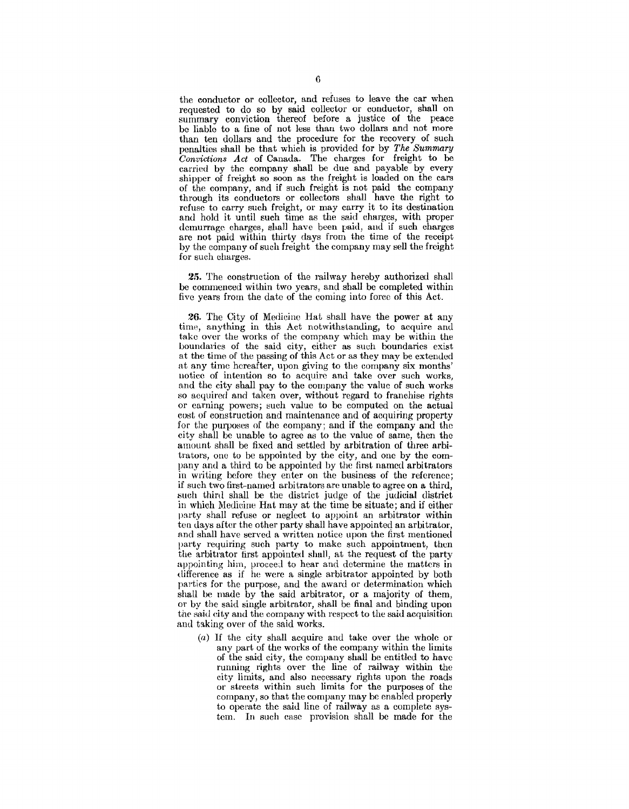the conductor or collector, and refuses to leave the car when requested to do so by said collector or conductor, shall on summary conviction thereof before a justice of the peace be liable to a fine of not less than two dollars and not more than ten dollars and the procedure for the recovery of such penalties shall be that which is provided for by *The Summary Convictions Act* of Canada. The charges for freight to be carried by the company shall be due and payable by every shipper of freight so soon as the freight is loaded on the cars of the company, and if such freight is not paid the company through its conductors or collectors shall have the right to refuse to carry such freight, or may carry it to its destination and hold it until such time as the said charges, with proper demurrage charges, shall have been paid, and if such charges are not paid within thirty days from the time of the receipt by the company of such freight the company may sell the freight for such charges.

25. The construction of the railway hereby authorized shall be commenced within two years, and shall be completed within five years from the date of the coming into force of this Act.

26. The City of Medicine Hat shall have the power at any time, anything in this Act notwithstanding, to acquire and take over the works of the company which may be within the boundaries of the said city, either as sueh boundaries exist at the time of the passing of this Act or as they may be extended at any time hereafter, upon giving to the company six months' notice of intention so to acquire and take over such works, and the city shall pay to the company the value of such works so acquired and taken over, without regard to franchise rights or earning powers; such value to be computed on the actual cost of construction and maintenance and of acquiring property for the purposes of the company; and if the company and the city shall be unable to agree as to the value of same, then the amount shall be fixed and settled by arbitration of three arbitrators, one to be appointed by the city, and one by the company and a third to be appointed by the first named arbitrators in writing before they enter on the business of the reference; if such two first-named arbitrators are unable to agree on a third, sueh thir<l shall be the district judge of the judieial district in which Medicine Hat may at the time be situate; and if either party shall refuse or neglect to appoint an arbitrator within ten days after the other party shall have appointed an arbitrator, and shall have served a written notice upon the first mentioned party requiring such party to make such appointment, then the arbitrator first appointed shall, at the request of the party appointing him, proceed to hear and determine the matters in difference as if he were a single arbitrator appointed by both parties for the purpose, and the award or determination which shall be made by the said arbitrator, or a majority of them, or by the said single arbitrator, shall be final and binding upon the said city and the company with respect to the said acquisition and taking over of the said works.

(a) If the city shall acquire and take over the whole or any part of the works of the company within the limits of the said city, the company shall be entitled to have running rights over the line of railway within the city limits, and also necessary rights upon the roads or streets within such limits for the purposes of the company, so that the company may be enabled properly to operate the said line of railway as a complete system. In such case provision shall be made for the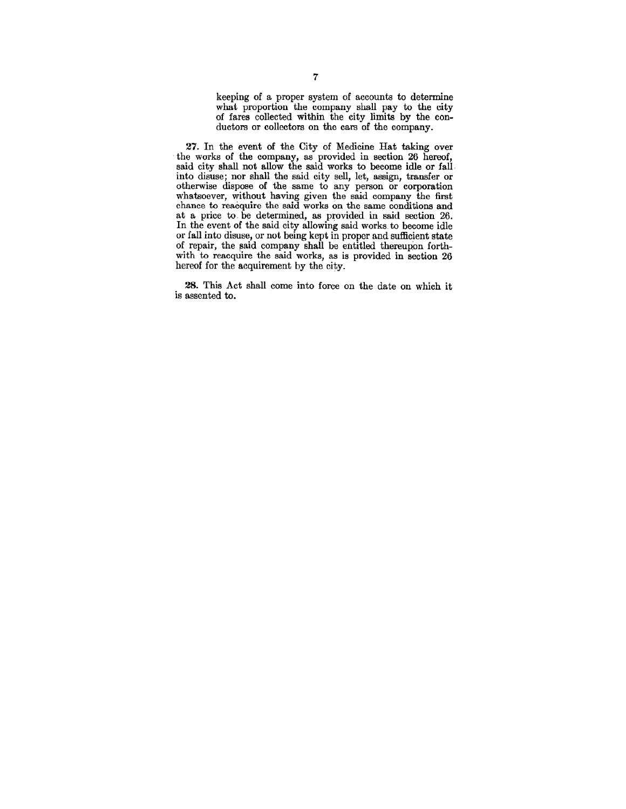keeping of a proper system of accounts to determine what proportion the company shall pay to the city of fares collected within the city limits by the conductors or collectors on the cars of the company.

27. In the event of the City of Medicine Hat taking over the works of the company, as provided in section 26 hereof, said city shall not allow the said works to become idle or fall. into disuse; nor shall the said city sell, let, assign, transfer or otherwise dispose of the same to any person or corporation whatsoever, without having given the said company the first chance to reacquire the said works on the same conditions and at a price to. be determined, as provided in said section 26. In the event of the said city allowing said works. to become idle or fall into disuse, or not being kept in proper and sufficient state of repair, the said company shall be entitled thereupon forthwith to reacquire the said works, as is provided in section 26 hereof for the acquirement by the city.

28. This Act shall come into force on the date on which it is assented to.